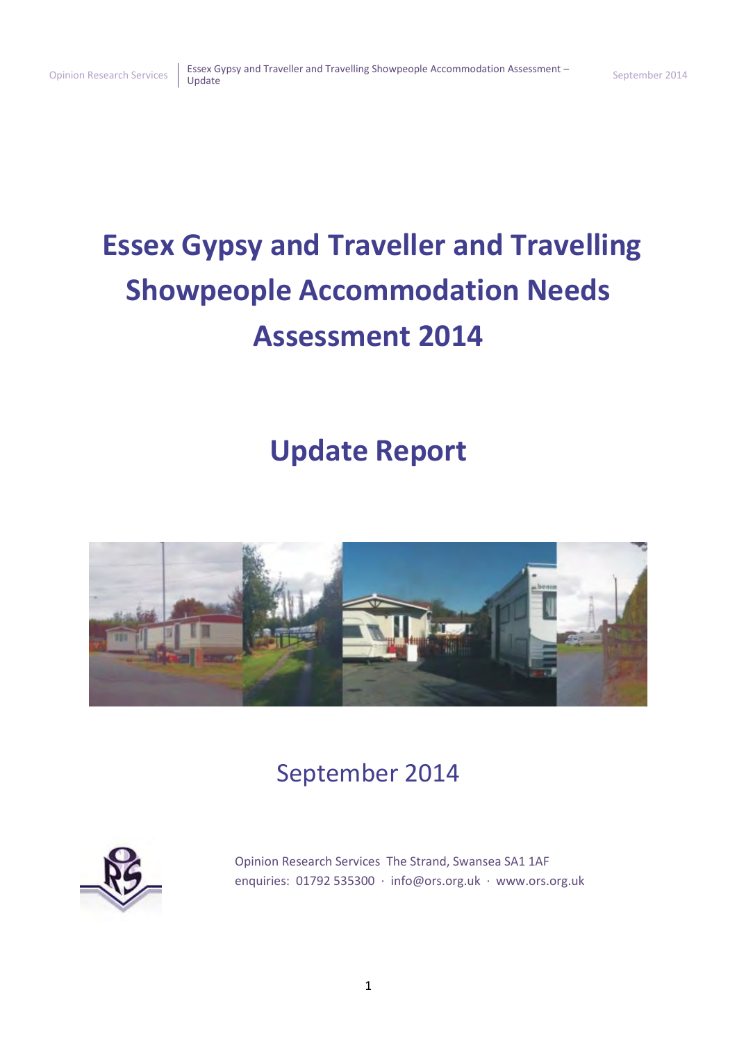# **Essex Gypsy and Traveller and Travelling Showpeople Accommodation Needs Assessment 2014**

# **Update Report**



# September 2014



Opinion Research Services The Strand, Swansea SA1 1AF enquiries: 01792 535300 · [info@ors.org.uk](mailto:info@ors.org.uk) · [www.ors.org.uk](http://www.ors.org.uk/)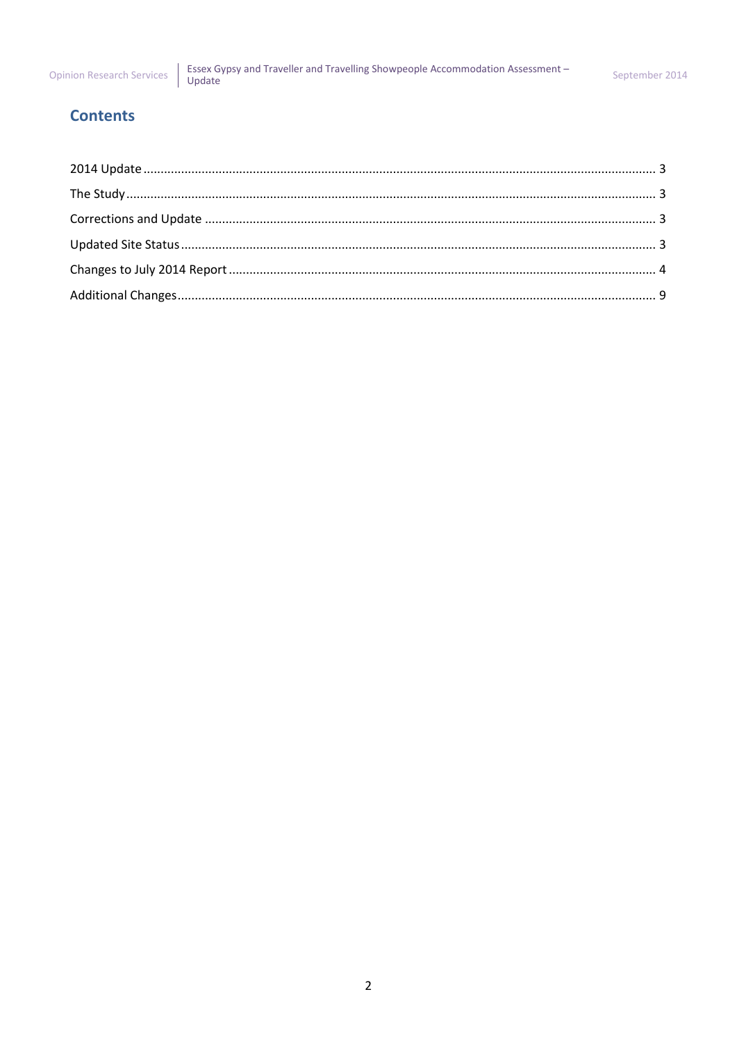## **Contents**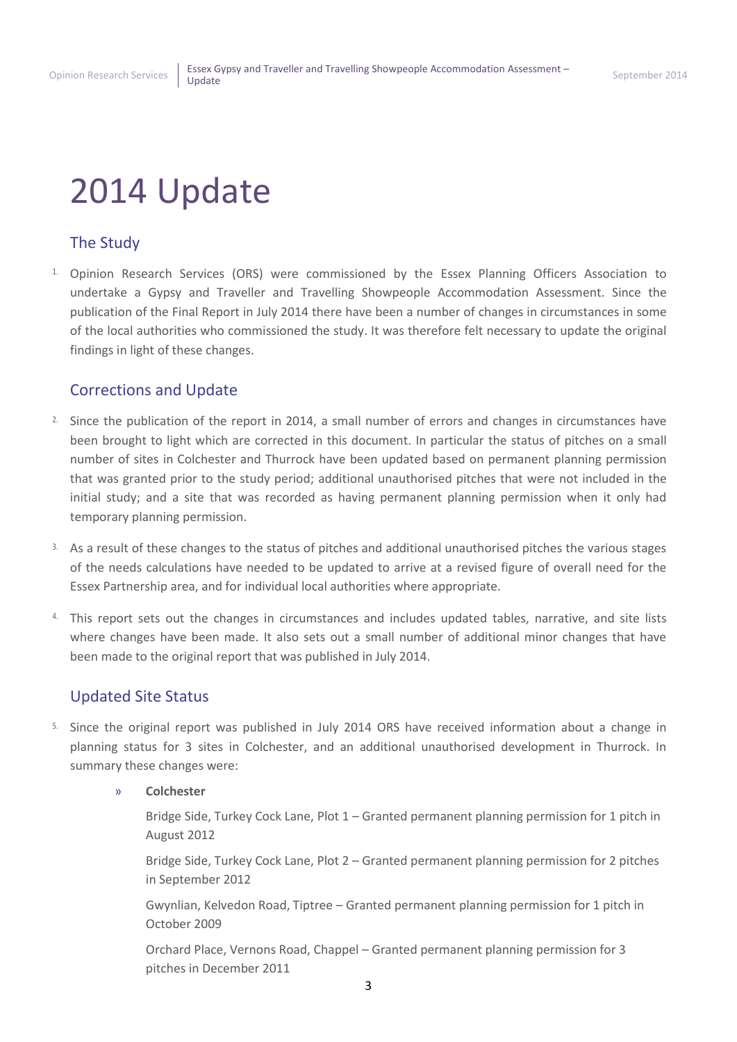# <span id="page-2-0"></span>2014 Update

# <span id="page-2-1"></span>The Study

<sup>1</sup>. Opinion Research Services (ORS) were commissioned by the Essex Planning Officers Association to undertake a Gypsy and Traveller and Travelling Showpeople Accommodation Assessment. Since the publication of the Final Report in July 2014 there have been a number of changes in circumstances in some of the local authorities who commissioned the study. It was therefore felt necessary to update the original findings in light of these changes.

## <span id="page-2-2"></span>Corrections and Update

- <sup>2.</sup> Since the publication of the report in 2014, a small number of errors and changes in circumstances have been brought to light which are corrected in this document. In particular the status of pitches on a small number of sites in Colchester and Thurrock have been updated based on permanent planning permission that was granted prior to the study period; additional unauthorised pitches that were not included in the initial study; and a site that was recorded as having permanent planning permission when it only had temporary planning permission.
- 3. As a result of these changes to the status of pitches and additional unauthorised pitches the various stages of the needs calculations have needed to be updated to arrive at a revised figure of overall need for the Essex Partnership area, and for individual local authorities where appropriate.
- 4. This report sets out the changes in circumstances and includes updated tables, narrative, and site lists where changes have been made. It also sets out a small number of additional minor changes that have been made to the original report that was published in July 2014.

# <span id="page-2-3"></span>Updated Site Status

- 5. Since the original report was published in July 2014 ORS have received information about a change in planning status for 3 sites in Colchester, and an additional unauthorised development in Thurrock. In summary these changes were:
	- » **Colchester**
		- Bridge Side, Turkey Cock Lane, Plot 1 Granted permanent planning permission for 1 pitch in August 2012
		- Bridge Side, Turkey Cock Lane, Plot 2 Granted permanent planning permission for 2 pitches in September 2012
		- Gwynlian, Kelvedon Road, Tiptree Granted permanent planning permission for 1 pitch in October 2009
		- Orchard Place, Vernons Road, Chappel Granted permanent planning permission for 3 pitches in December 2011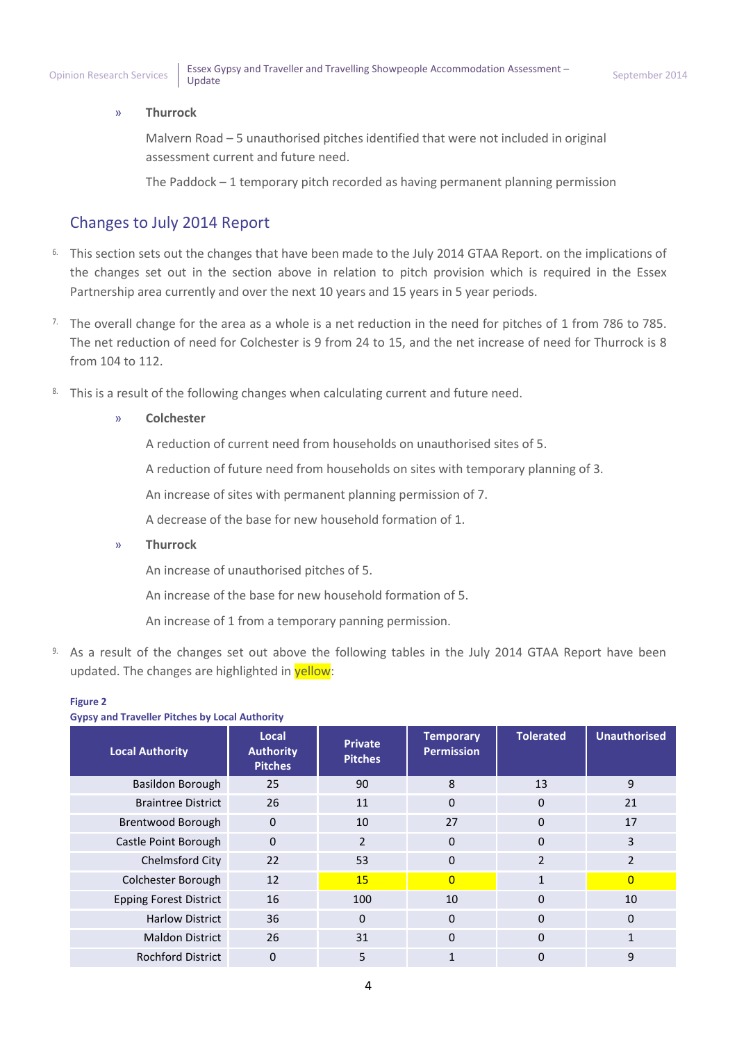#### » **Thurrock**

Malvern Road – 5 unauthorised pitches identified that were not included in original assessment current and future need.

The Paddock – 1 temporary pitch recorded as having permanent planning permission

## <span id="page-3-0"></span>Changes to July 2014 Report

- <sup>6.</sup> This section sets out the changes that have been made to the July 2014 GTAA Report. on the implications of the changes set out in the section above in relation to pitch provision which is required in the Essex Partnership area currently and over the next 10 years and 15 years in 5 year periods.
- <sup>7.</sup> The overall change for the area as a whole is a net reduction in the need for pitches of 1 from 786 to 785. The net reduction of need for Colchester is 9 from 24 to 15, and the net increase of need for Thurrock is 8 from 104 to 112.
- 8. This is a result of the following changes when calculating current and future need.

#### » **Colchester**

A reduction of current need from households on unauthorised sites of 5.

A reduction of future need from households on sites with temporary planning of 3.

An increase of sites with permanent planning permission of 7.

A decrease of the base for new household formation of 1.

» **Thurrock**

An increase of unauthorised pitches of 5.

An increase of the base for new household formation of 5.

An increase of 1 from a temporary panning permission.

9. As a result of the changes set out above the following tables in the July 2014 GTAA Report have been updated. The changes are highlighted in **yellow**:

#### **Figure 2**

| <b>Gypsy and Traveller Pitches by Local Authority</b> |                                             |                                  |                                       |                  |                     |  |
|-------------------------------------------------------|---------------------------------------------|----------------------------------|---------------------------------------|------------------|---------------------|--|
| <b>Local Authority</b>                                | Local<br><b>Authority</b><br><b>Pitches</b> | <b>Private</b><br><b>Pitches</b> | <b>Temporary</b><br><b>Permission</b> | <b>Tolerated</b> | <b>Unauthorised</b> |  |
| Basildon Borough                                      | 25                                          | 90                               | 8                                     | 13               | 9                   |  |
| <b>Braintree District</b>                             | 26                                          | 11                               | $\Omega$                              | $\Omega$         | 21                  |  |
| Brentwood Borough                                     | $\Omega$                                    | 10                               | 27                                    | $\Omega$         | 17                  |  |
| Castle Point Borough                                  | $\mathbf{0}$                                | $\overline{2}$                   | $\mathbf{0}$                          | $\mathbf{0}$     | 3                   |  |
| Chelmsford City                                       | 22                                          | 53                               | $\Omega$                              | $\overline{2}$   | 2                   |  |
| Colchester Borough                                    | 12                                          | 15                               | $\overline{0}$                        |                  | 0                   |  |
| <b>Epping Forest District</b>                         | 16                                          | 100                              | 10                                    | $\mathbf{0}$     | 10                  |  |
| <b>Harlow District</b>                                | 36                                          | $\Omega$                         | $\Omega$                              | $\Omega$         | 0                   |  |
| <b>Maldon District</b>                                | 26                                          | 31                               | $\Omega$                              | $\Omega$         |                     |  |
| <b>Rochford District</b>                              | 0                                           | 5                                |                                       | 0                | 9                   |  |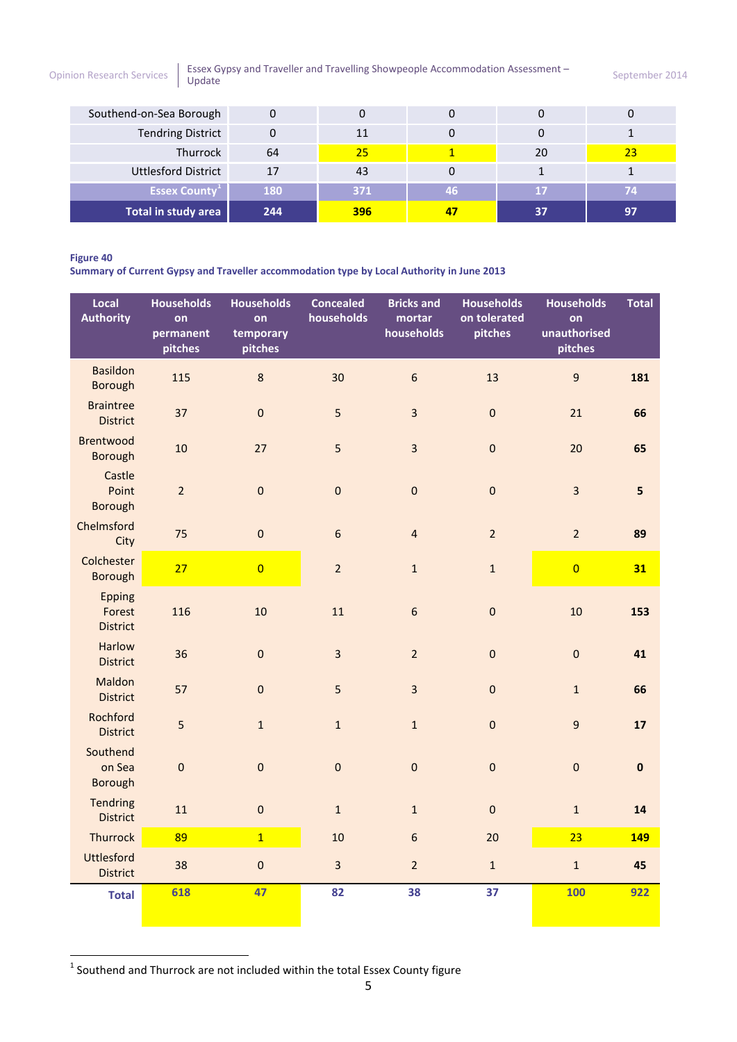[Opinion Research Services](http://www.ors.org.uk/) | Essex Gypsy and Traveller and Travelling Showpeople Accommodation Assessment – September 2014

| Southend-on-Sea Borough    |     |                 |    |    |    |
|----------------------------|-----|-----------------|----|----|----|
| <b>Tendring District</b>   |     | 11              |    |    |    |
| Thurrock                   | 64  | 25 <sub>1</sub> |    | 20 | 23 |
| <b>Uttlesford District</b> | 17  | 43              |    |    |    |
| <b>Essex County</b>        | 180 | 371             | 46 | 17 | 74 |
| Total in study area        | 244 | 396             |    | 37 | 97 |

#### **Figure 40**

**Summary of Current Gypsy and Traveller accommodation type by Local Authority in June 2013** 

| Local<br><b>Authority</b>                  | <b>Households</b><br>on<br>permanent<br>pitches | <b>Households</b><br>on<br>temporary<br>pitches | <b>Concealed</b><br>households | <b>Bricks and</b><br>mortar<br>households | <b>Households</b><br>on tolerated<br>pitches | <b>Households</b><br>on<br>unauthorised<br>pitches | <b>Total</b> |
|--------------------------------------------|-------------------------------------------------|-------------------------------------------------|--------------------------------|-------------------------------------------|----------------------------------------------|----------------------------------------------------|--------------|
| <b>Basildon</b><br>Borough                 | 115                                             | 8                                               | 30                             | $\sqrt{6}$                                | 13                                           | $\overline{9}$                                     | 181          |
| <b>Braintree</b><br><b>District</b>        | 37                                              | $\mathbf 0$                                     | 5                              | $\overline{3}$                            | $\pmb{0}$                                    | 21                                                 | 66           |
| <b>Brentwood</b><br><b>Borough</b>         | 10                                              | 27                                              | 5                              | $\overline{3}$                            | $\mathbf 0$                                  | 20                                                 | 65           |
| Castle<br>Point<br><b>Borough</b>          | $\overline{2}$                                  | $\pmb{0}$                                       | $\pmb{0}$                      | $\mathbf 0$                               | $\pmb{0}$                                    | $\overline{\mathbf{3}}$                            | 5            |
| Chelmsford<br>City                         | 75                                              | $\pmb{0}$                                       | $6\phantom{1}$                 | $\overline{4}$                            | $\overline{2}$                               | $\overline{2}$                                     | 89           |
| Colchester<br><b>Borough</b>               | 27                                              | $\overline{0}$                                  | $\overline{2}$                 | $\mathbf 1$                               | $\mathbf 1$                                  | $\overline{0}$                                     | 31           |
| <b>Epping</b><br>Forest<br><b>District</b> | 116                                             | 10                                              | 11                             | $6\phantom{a}$                            | $\mathbf 0$                                  | 10                                                 | 153          |
| <b>Harlow</b><br><b>District</b>           | 36                                              | $\mathbf 0$                                     | $\overline{3}$                 | $\overline{2}$                            | $\pmb{0}$                                    | $\mathbf 0$                                        | 41           |
| Maldon<br><b>District</b>                  | 57                                              | $\mathbf 0$                                     | 5                              | $\overline{3}$                            | $\mathbf 0$                                  | $\mathbf{1}$                                       | 66           |
| Rochford<br><b>District</b>                | 5                                               | $\mathbf 1$                                     | $\mathbf{1}$                   | $\mathbf 1$                               | $\pmb{0}$                                    | $\boldsymbol{9}$                                   | 17           |
| Southend<br>on Sea<br><b>Borough</b>       | $\mathbf 0$                                     | $\mathbf 0$                                     | $\mathbf 0$                    | $\mathbf 0$                               | $\mathbf 0$                                  | $\mathbf 0$                                        | $\pmb{0}$    |
| <b>Tendring</b><br><b>District</b>         | 11                                              | $\pmb{0}$                                       | $\mathbf{1}$                   | $\mathbf{1}$                              | $\pmb{0}$                                    | $\mathbf{1}$                                       | 14           |
| Thurrock                                   | 89                                              | $\overline{1}$                                  | 10                             | $\sqrt{6}$                                | 20                                           | 23                                                 | 149          |
| <b>Uttlesford</b><br><b>District</b>       | 38                                              | $\boldsymbol{0}$                                | $\overline{\mathbf{3}}$        | $\overline{2}$                            | $\mathbf 1$                                  | $\mathbf{1}$                                       | 45           |
| <b>Total</b>                               | 618                                             | 47                                              | 82                             | 38                                        | 37                                           | <b>100</b>                                         | 922          |

**THE SOUT AND THE TEAM**<br><sup>1</sup> Southend and Thurrock are not included within the total Essex County figure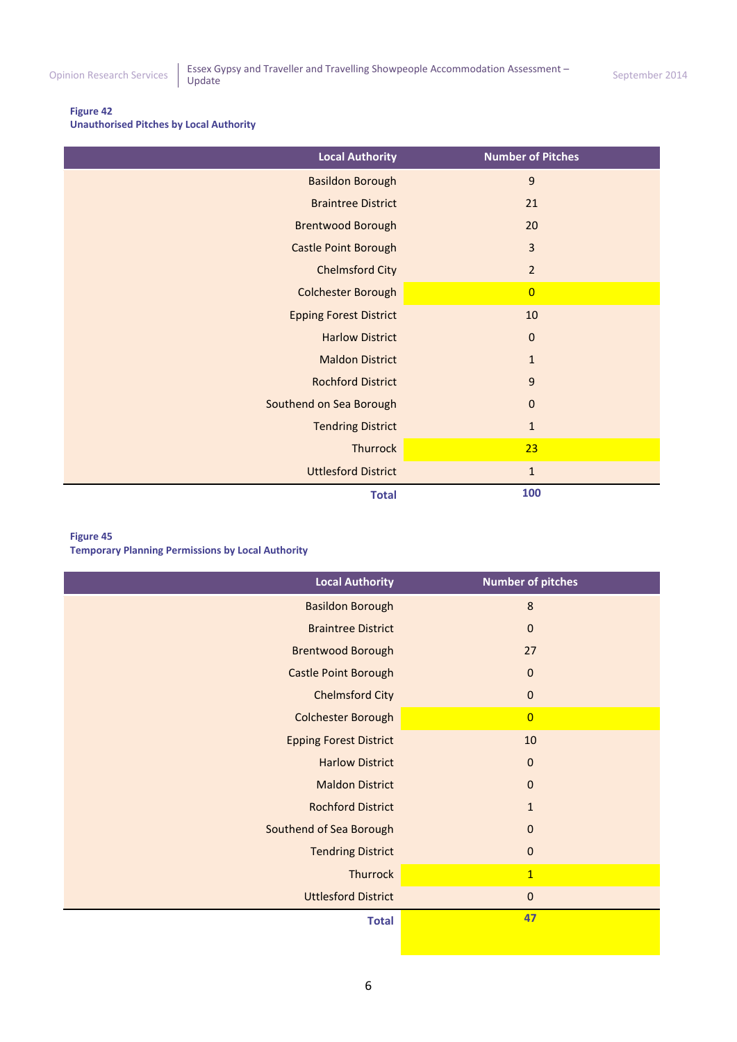#### **Figure 42**

**Unauthorised Pitches by Local Authority** 

| <b>Local Authority</b>        | <b>Number of Pitches</b> |
|-------------------------------|--------------------------|
| <b>Basildon Borough</b>       | 9                        |
| <b>Braintree District</b>     | 21                       |
| <b>Brentwood Borough</b>      | 20                       |
| Castle Point Borough          | $\overline{3}$           |
| <b>Chelmsford City</b>        | $\overline{2}$           |
| Colchester Borough            | $\overline{0}$           |
| <b>Epping Forest District</b> | 10                       |
| <b>Harlow District</b>        | $\pmb{0}$                |
| <b>Maldon District</b>        | $1\,$                    |
| <b>Rochford District</b>      | 9                        |
| Southend on Sea Borough       | $\pmb{0}$                |
| <b>Tendring District</b>      | $1\,$                    |
| <b>Thurrock</b>               | 23                       |
| <b>Uttlesford District</b>    | $\mathbf 1$              |
| <b>Total</b>                  | 100                      |

#### **Figure 45**

**Temporary Planning Permissions by Local Authority** 

| <b>Local Authority</b>        | <b>Number of pitches</b> |
|-------------------------------|--------------------------|
| <b>Basildon Borough</b>       | $\boldsymbol{8}$         |
| <b>Braintree District</b>     | $\mathbf 0$              |
| <b>Brentwood Borough</b>      | 27                       |
| Castle Point Borough          | $\bf 0$                  |
| <b>Chelmsford City</b>        | $\mathbf 0$              |
| <b>Colchester Borough</b>     | $\overline{0}$           |
| <b>Epping Forest District</b> | 10                       |
| <b>Harlow District</b>        | $\mathbf{0}$             |
| <b>Maldon District</b>        | $\mathbf{0}$             |
| <b>Rochford District</b>      | $\mathbf{1}$             |
| Southend of Sea Borough       | $\mathbf{0}$             |
| <b>Tendring District</b>      | $\pmb{0}$                |
| <b>Thurrock</b>               | $\overline{1}$           |
| <b>Uttlesford District</b>    | $\mathbf 0$              |
| <b>Total</b>                  | 47                       |
|                               |                          |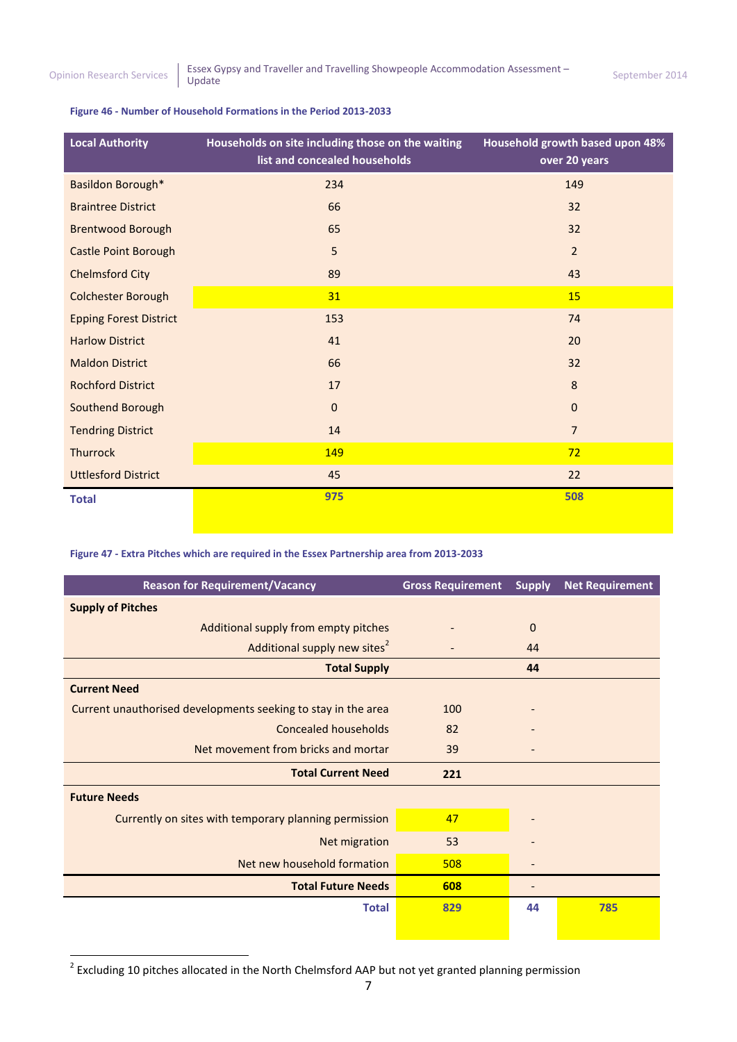#### **Figure 46 - Number of Household Formations in the Period 2013-2033**

| <b>Local Authority</b>        | Households on site including those on the waiting<br>list and concealed households | Household growth based upon 48%<br>over 20 years |
|-------------------------------|------------------------------------------------------------------------------------|--------------------------------------------------|
| Basildon Borough*             | 234                                                                                | 149                                              |
| <b>Braintree District</b>     | 66                                                                                 | 32                                               |
| <b>Brentwood Borough</b>      | 65                                                                                 | 32                                               |
| <b>Castle Point Borough</b>   | 5                                                                                  | $\overline{2}$                                   |
| <b>Chelmsford City</b>        | 89                                                                                 | 43                                               |
| <b>Colchester Borough</b>     | 31                                                                                 | 15                                               |
| <b>Epping Forest District</b> | 153                                                                                | 74                                               |
| <b>Harlow District</b>        | 41                                                                                 | 20                                               |
| <b>Maldon District</b>        | 66                                                                                 | 32                                               |
| <b>Rochford District</b>      | 17                                                                                 | 8                                                |
| Southend Borough              | $\mathbf 0$                                                                        | $\mathbf 0$                                      |
| <b>Tendring District</b>      | 14                                                                                 | $\overline{7}$                                   |
| <b>Thurrock</b>               | 149                                                                                | 72                                               |
| <b>Uttlesford District</b>    | 45                                                                                 | 22                                               |
| <b>Total</b>                  | 975                                                                                | 508                                              |

#### **Figure 47 - Extra Pitches which are required in the Essex Partnership area from 2013-2033**

| <b>Reason for Requirement/Vacancy</b>                         | <b>Gross Requirement</b> | <b>Supply</b>                | <b>Net Requirement</b> |
|---------------------------------------------------------------|--------------------------|------------------------------|------------------------|
| <b>Supply of Pitches</b>                                      |                          |                              |                        |
| Additional supply from empty pitches                          |                          | $\mathbf{0}$                 |                        |
| Additional supply new sites <sup>2</sup>                      |                          | 44                           |                        |
| <b>Total Supply</b>                                           |                          | 44                           |                        |
| <b>Current Need</b>                                           |                          |                              |                        |
| Current unauthorised developments seeking to stay in the area | 100                      |                              |                        |
| Concealed households                                          | 82                       |                              |                        |
| Net movement from bricks and mortar                           | 39                       | -                            |                        |
| <b>Total Current Need</b>                                     | 221                      |                              |                        |
| <b>Future Needs</b>                                           |                          |                              |                        |
| Currently on sites with temporary planning permission         | 47                       |                              |                        |
| Net migration                                                 | 53                       |                              |                        |
| Net new household formation                                   | 508                      | -                            |                        |
| <b>Total Future Needs</b>                                     | 608                      | $\qquad \qquad \blacksquare$ |                        |
| <b>Total</b>                                                  | 829                      | 44                           | 785                    |
|                                                               |                          |                              |                        |

 2 Excluding 10 pitches allocated in the North Chelmsford AAP but not yet granted planning permission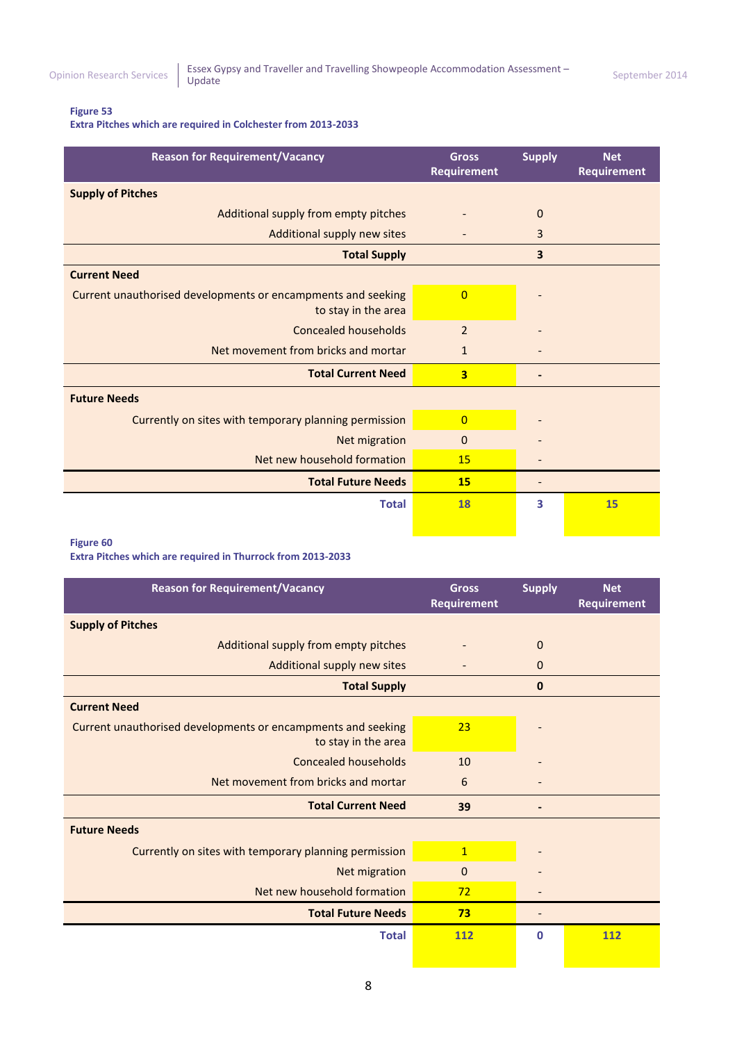#### **Figure 53**

**Extra Pitches which are required in Colchester from 2013-2033**

| <b>Reason for Requirement/Vacancy</b>                                               | <b>Gross</b><br><b>Requirement</b> | <b>Supply</b> | <b>Net</b><br>Requirement |
|-------------------------------------------------------------------------------------|------------------------------------|---------------|---------------------------|
| <b>Supply of Pitches</b>                                                            |                                    |               |                           |
| Additional supply from empty pitches                                                |                                    | $\mathbf{0}$  |                           |
| Additional supply new sites                                                         |                                    | 3             |                           |
| <b>Total Supply</b>                                                                 |                                    | 3             |                           |
| <b>Current Need</b>                                                                 |                                    |               |                           |
| Current unauthorised developments or encampments and seeking<br>to stay in the area | $\overline{0}$                     |               |                           |
| Concealed households                                                                | $\overline{2}$                     |               |                           |
| Net movement from bricks and mortar                                                 | 1                                  |               |                           |
| <b>Total Current Need</b>                                                           | $\overline{\mathbf{3}}$            |               |                           |
| <b>Future Needs</b>                                                                 |                                    |               |                           |
| Currently on sites with temporary planning permission                               | $\overline{0}$                     |               |                           |
| Net migration                                                                       | $\mathbf{0}$                       |               |                           |
| Net new household formation                                                         | 15                                 |               |                           |
| <b>Total Future Needs</b>                                                           | <b>15</b>                          |               |                           |
| <b>Total</b>                                                                        | <b>18</b>                          | 3             | 15                        |

#### **Figure 60**

**Extra Pitches which are required in Thurrock from 2013-2033**

| <b>Reason for Requirement/Vacancy</b>                                               | <b>Gross</b><br>Requirement | <b>Supply</b> | <b>Net</b><br><b>Requirement</b> |
|-------------------------------------------------------------------------------------|-----------------------------|---------------|----------------------------------|
| <b>Supply of Pitches</b>                                                            |                             |               |                                  |
| Additional supply from empty pitches                                                |                             | $\mathbf{0}$  |                                  |
| Additional supply new sites                                                         |                             | $\mathbf{0}$  |                                  |
| <b>Total Supply</b>                                                                 |                             | 0             |                                  |
| <b>Current Need</b>                                                                 |                             |               |                                  |
| Current unauthorised developments or encampments and seeking<br>to stay in the area | 23                          |               |                                  |
| <b>Concealed households</b>                                                         | 10                          |               |                                  |
| Net movement from bricks and mortar                                                 | 6                           |               |                                  |
| <b>Total Current Need</b>                                                           | 39                          |               |                                  |
| <b>Future Needs</b>                                                                 |                             |               |                                  |
| Currently on sites with temporary planning permission                               | $\mathbf{1}$                |               |                                  |
| Net migration                                                                       | $\mathbf{0}$                |               |                                  |
| Net new household formation                                                         | 72                          |               |                                  |
| <b>Total Future Needs</b>                                                           | 73                          |               |                                  |
| <b>Total</b>                                                                        | 112                         | 0             | 112                              |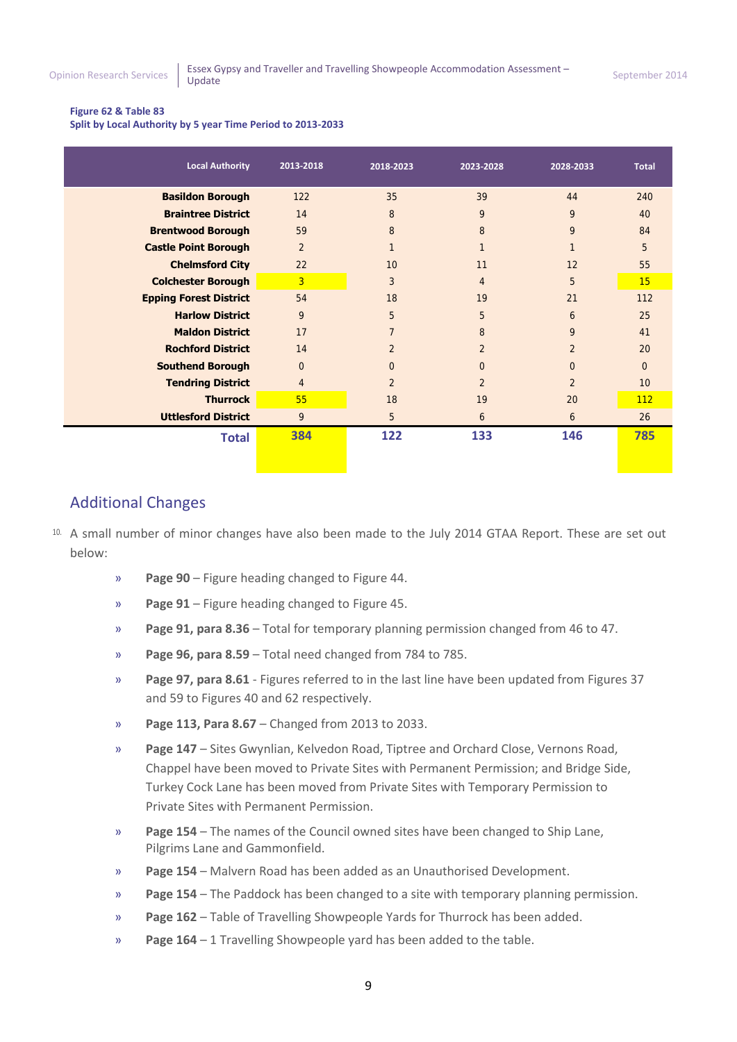#### <span id="page-8-0"></span>**Figure 62 & Table 83**

**Split by Local Authority by 5 year Time Period to 2013-2033**

| <b>Local Authority</b>        | 2013-2018      | 2018-2023      | 2023-2028      | 2028-2033      | <b>Total</b> |
|-------------------------------|----------------|----------------|----------------|----------------|--------------|
| <b>Basildon Borough</b>       | 122            | 35             | 39             | 44             | 240          |
| <b>Braintree District</b>     | 14             | 8              | 9              | 9              | 40           |
| <b>Brentwood Borough</b>      | 59             | 8              | 8              | 9              | 84           |
| <b>Castle Point Borough</b>   | $\overline{2}$ | $\mathbf{1}$   |                |                | 5            |
| <b>Chelmsford City</b>        | 22             | 10             | 11             | 12             | 55           |
| <b>Colchester Borough</b>     | $\overline{3}$ | 3              | $\overline{4}$ | 5              | 15           |
| <b>Epping Forest District</b> | 54             | 18             | 19             | 21             | 112          |
| <b>Harlow District</b>        | 9              | 5              | 5              | 6              | 25           |
| <b>Maldon District</b>        | 17             | $\overline{7}$ | 8              | 9              | 41           |
| <b>Rochford District</b>      | 14             | $\mathfrak{D}$ | $\mathcal{P}$  | $\mathcal{P}$  | 20           |
| <b>Southend Borough</b>       | $\Omega$       | $\overline{0}$ | $\Omega$       | $\Omega$       | $\Omega$     |
| <b>Tendring District</b>      | $\overline{4}$ | $\overline{2}$ | $\overline{2}$ | $\overline{2}$ | 10           |
| <b>Thurrock</b>               | 55             | 18             | 19             | 20             | 112          |
| <b>Uttlesford District</b>    | 9              | 5              | 6              | 6              | 26           |
| <b>Total</b>                  | 384            | 122            | 133            | 146            | 785          |
|                               |                |                |                |                |              |

### Additional Changes

- 10. A small number of minor changes have also been made to the July 2014 GTAA Report. These are set out below:
	- » **Page 90** Figure heading changed to Figure 44.
	- » **Page 91** Figure heading changed to Figure 45.
	- » **Page 91, para 8.36**  Total for temporary planning permission changed from 46 to 47.
	- » **Page 96, para 8.59** Total need changed from 784 to 785.
	- » **Page 97, para 8.61** Figures referred to in the last line have been updated from Figures 37 and 59 to Figures 40 and 62 respectively.
	- » **Page 113, Para 8.67** Changed from 2013 to 2033.
	- » **Page 147** Sites Gwynlian, Kelvedon Road, Tiptree and Orchard Close, Vernons Road, Chappel have been moved to Private Sites with Permanent Permission; and Bridge Side, Turkey Cock Lane has been moved from Private Sites with Temporary Permission to Private Sites with Permanent Permission.
	- » **Page 154** The names of the Council owned sites have been changed to Ship Lane, Pilgrims Lane and Gammonfield.
	- » **Page 154** Malvern Road has been added as an Unauthorised Development.
	- » **Page 154** The Paddock has been changed to a site with temporary planning permission.
	- » **Page 162** Table of Travelling Showpeople Yards for Thurrock has been added.
	- » **Page 164**  1 Travelling Showpeople yard has been added to the table.